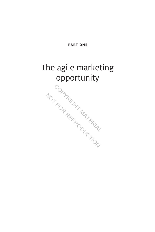### **PART ONE**

# The agile marketing opportunity

COPYRIGHT MATERIAL NOT FOR REPAIR AND REPAIR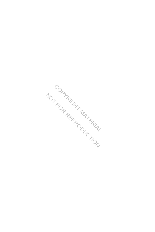COPYRIGHT MATERIAL NOT FOR REPAIR AND REPAIR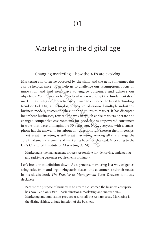# Marketing in the digital age

# Changing marketing – how the 4 Ps are evolving

t can help us to challenge our a<br>new ways to engage custome<br>ulso be unhelpful when we forger<br>d practice in our rush to embrace<br>technologies have revolutionized<br>omer behaviour and routes to ma<br>rewired the way in which entir can also be unhelpful when we forg<br>gy and practice in our rush to embrace gital technologies have revolutioniz<br>gital technologies have revolutioniz<br>customer behaviour and routes to n<br>esses, rewired the way in which entire<br> Marketing can often be obsessed by the shiny and the new. Sometimes this can be helpful since it can help us to challenge our assumptions, focus on innovation and find new ways to engage customers and achieve our objectives. Yet it can also be unhelpful when we forget the fundamentals of marketing strategy and practice in our rush to embrace the latest technology trend or fad. Digital technologies have revolutionized multiple industries, business models, customer behaviour and routes to market. It has disrupted incumbent businesses, rewired the way in which entire markets operate and changed competitive environments for good. It has empowered consumers in ways that were unimaginable 30 years ago. Now, everyone with a smartphone has the answer to just about any question right there at their fingertips.

Yet great marketing is still great marketing. Among all this change the core fundamental elements of marketing have not changed. According to the UK's Chartered Institute of Marketing (CIM):

Marketing is the management process responsible for identifying, anticipating and satisfying customer requirements profitably.<sup>1</sup>

Let's break that definition down. As a process, marketing is a way of generating value from and organizing activities around customers and their needs. In his classic book *The Practice of Management* Peter Drucker famously declares:

Because the purpose of business is to create a customer, the business enterprise has two – and only two – basic functions: marketing and innovation... Marketing and innovation produce results; all the rest are costs. Marketing is the distinguishing, unique function of the business.<sup>2</sup>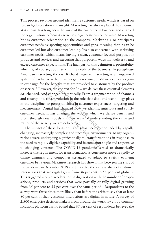the context for *how* we deliver the context for *how* we deliver the nged dramatically. From a fragmeter and the role that data a sweetful shifts in customer exper has changed how we identify, as changed the way in which d changed dramatically. From a frage<br>to a revolution in the role that data<br>to powerful shifts in customer experiency<br>igital has changed how we identify,<br>It has changed the way in which<br>we w models and new ways of unders<br>wi This process revolves around identifying customer needs, which is based on research, observation and insight. Marketing has always placed the customer at its heart, has long been the voice of the customer in business and enabled the organization to focus its activities to generate customer value. Marketing brings customer orientation to the company. Marketing also anticipates customer needs by spotting opportunities and gaps, meaning that it can be customer led but also customer leading. It's also concerned with satisfying customer needs, which means having a clear, customer-focused purpose for products and services and executing that purpose in ways that deliver to and exceed customer expectations. The final part of this definition is profitability which is, of course, about serving the needs of the business. To paraphrase American marketing theorist Richard Bagozzi, marketing is an organized system of exchange – the business gains revenue, profit or some other gain in exchange for the benefits that are provided to customers by the product or service.<sup>3</sup> However, the context for *how* we deliver these essential elements *has* changed. And changed dramatically. From a fragmentation of channels and touchpoints to a revolution in the role that data and technology plays in the discipline, to powerful shifts in customer experiences, targeting and measurement. Digital has changed how we identify, anticipate and satisfy customer needs. It has changed the way in which we derive benefit and profit through new models and new ways of understanding the value and return of the activity we are delivering.

The impact of these long-term shifts has been compounded by rapidly changing, increasingly complex and uncertain environments. Many organizations were undergoing significant digital transformations in response to the need to rapidly digitize capability and become more agile and responsive to changing contexts. The COVID-19 pandemic served to dramatically increase this requirement for transformation as consumers moved rapidly to online channels and companies struggled to adapt to swiftly evolving customer behaviour. McKinsey research has shown that between the start of the pandemic in December 2019 and July 2020 the average share of customer interactions that are digital grew from 36 per cent to 58 per cent globally. This triggered a rapid acceleration in digitization with the number of propositions, products and services that were partially or fully digital growing from 35 per cent to 55 per cent over the same period.<sup>4</sup> Respondents to the survey were three times more likely than before the crisis to say that at least 80 per cent of their customer interactions are digital in nature. A survey of 2,500 enterprise decision-makers from around the world by cloud communications platform Twilio found that 97 per cent of respondents believed the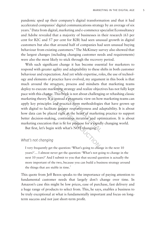pandemic sped up their company's digital transformation and that it had accelerated companies' digital communications strategy by an average of six years.<sup>5</sup> Data from digital, marketing and e-commerce specialist Econsultancy and Adobe revealed that a majority of businesses in their research (63 per cent for B2C and 57 per cent for B2B) had seen unusual growth in digital customers but also that around half of companies had seen unusual buying behaviour from existing customers.6 The McKinsey survey also showed that the largest changes (including changing customer needs and requirements) were also the most likely to stick through the recovery period.

deting strategy and realize object<br>
Reting strategy and realize object<br>
This book is not about challengir<br>
instead a pragmatic view on how<br>
and practice from methodologies<br>
te greater responsiveness and ad<br>
ed right at the ange. This book is not about challeng<br>
This instead a pragmatic view on ho<br>
ples and practice from methodologic<br>
cilitate greater responsiveness and a<br>
placed right at the heart of market<br>
naking, continuous iteration and With such significant change it has become essential for marketers to respond with greater agility and adaptability to these shifts in both customer behaviour and expectation. And yet while expertise, roles, the use of technology and elements of practice have evolved, my argument in this book is that much around the structure, process and mindsets that marketing teams deploy to execute marketing strategy and realize objectives has not fully kept pace with this change. This book is not about challenging or rehashing classic marketing theory. It is instead a pragmatic view on how marketing teams can apply key principles and practice from methodologies that have grown up with digital to facilitate greater responsiveness and adaptability. It is about how data can be placed right at the heart of marketing practice to support better decision-making, continuous iteration and optimization. It is about marketing execution that is fit for purpose for a rapidly changing world.

But first, let's begin with what's NOT changing.

#### What's not changing

I very frequently get the question: 'What's going to change in the next 10 years?'… I almost never get the question: 'What's not going to change in the next 10 years?' And I submit to you that that second question is actually the more important of the two, because you can build a business strategy around the things that are stable in time.<sup>7</sup>

This quote from Jeff Bezos speaks to the importance of paying attention to fundamental customer needs that largely don't change over time. In Amazon's case this might be low prices, ease of purchase, fast delivery and a huge range of products to select from. This, he says, enables a business to be truly exceptional at what is fundamentally important and focus on longterm success and not just short-term profit.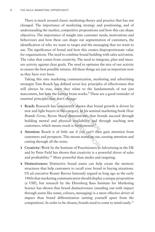There is much around classic marketing theory and practice that has not changed. The importance of marketing strategy and positioning, and of understanding the market, competitive propositions and how this can shape objectives. The importance of insight into customer needs, motivations and behaviours and how these can shape our segmentation of customers, the identification of who we want to target and the messaging that we want to use. The significance of brand and how this creates disproportionate value for organizations. The need to combine brand building with sales activation. The value that comes from creativity. The need to integrate, plan and measure activity against clear goals. The need to optimize the mix of our activity to ensure the best possible returns. All these things are just as important now as they have ever been.

Taking this into marketing communication, marketing and advertising strategist Tom Roach has defined seven key principles of effectiveness that will always be true, since they relate to the fundamentals of not just marcomms, but how the human brain works.<sup>8</sup> These are a good reminder of essential principles that don't change:

- The since they relate to the funda<br>the human brain works.<sup>8</sup> These are<br>t don't change:<br>s consistently shown that brand<br>is in the category. In his seminal r<br>on Sharp demonstrates that brand physical availability and the<br>nea Now the human brain works. These a<br>es that don't change:<br>ch has consistently shown that bran<br>buyers in the category. In his seminal<br>puyers in the category. In his seminal<br>actual and physical availability and t<br>ich means re **1 Reach:** Research has consistently shown that brand growth is driven by new and light buyers in the category. In his seminal marketing book *How Brands Grow*, Byron Sharp demonstrates that brands succeed through building mental and physical availability and through reaching new customers, which means reach is fundamental.<sup>9</sup>
- **2 Attention:** Reach is of little use if you can't then gain attention from customers and prospects. This means standing out, earning attention and cutting through all the noise.
- **3 Creativity:** Work by the Institute of Practitioners in Advertising in the UK and by Peter Field has shown that creativity is a powerful driver of sales and profitability.10 More powerful than media and targeting.
- **4 Distinctiveness:** Distinctive brand assets can help create the memory structures that help customers to recall your brand in buying situations. US ad executive Rosser Reeves famously argued as long ago as the early 1960s that marketing communication should display a unique proposition (a USP), but research by the Ehrenberg Bass Institute for Marketing Science has shown that brand distinctiveness (standing out with impact through assets like name, colours, messaging) is a more effective driver of impact than brand differentiation (setting yourself apart from the competition). In order to be chosen, brands need to come to mind easily.<sup>11</sup>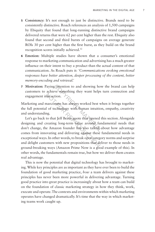- **5 Consistency:** It's not enough to just be distinctive. Brands need to be consistently distinctive. Roach references an analysis of 1,500 campaigns by Ebiquity that found that long-running distinctive brand campaigns delivered returns that were 62 per cent higher than the rest. Ebiquity also found that second and third bursts of campaigns on average generate ROIs 30 per cent higher than the first burst, as they build on the brand recognition scores initially achieved.12
- **6 Emotion:** Multiple studies have shown that a consumer's emotional response to marketing communication and advertising has a much greater influence on their intent to buy a product than the actual content of that communication. As Roach puts it: *'Communications evoking emotional*  responses have better attention, deeper processing of the content, better *memory-encoding and retrieval.'*
- **7 Motivation:** Paying attention to and showing how the brand can help customers to achieve something they want helps turn connection and engagement into action.

Marketing and marcomms has always worked best when it brings together the full potential of technology with human intuition, empathy, creativity and understanding.

Contention to and showing how<br>we something they want helps<br>tion.<br>mms has always worked best we<br>echnology with human intuition<br>at Jeff Bezos quote that opened t<br>in I left Bezos quote that opened t<br>in azon founder has also t No action.<br>
In arcomms has always worked best v<br>
1 of technology with human intuitions.<br>
It is discussed to that opened<br>
reating long-term value around fu<br>
in a Amazon founder has also talked<br>
by a space of the search of t Let's go back to that Jeff Bezos quote that opened this section. Alongside designing and creating long-term value around fundamental needs that don't change, the Amazon founder has also talked about how advantage comes from innovating and delivering against these fundamental needs in exceptional ways. In other words, to break open category norms and surprise and delight customers with new propositions that deliver to those needs in ground-breaking ways (Amazon Prime Now is a good example of this). In other words, the fundamentals remain true, but how we deliver them creates real advantage.

This is now the potential that digital technology has brought to marketing. While key principles are as important as they have ever been to build the foundation of good marketing practice, *how* a team delivers against these principles has never been more powerful in delivering advantage. Turning good practice into great practice is increasingly about how a team can build on the foundation of classic marketing strategy in how they think, work, execute and operate. The contexts and environments within which marketing operates have changed dramatically. It's time that the way in which marketing teams work caught up.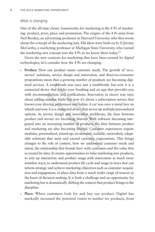#### What is changing

One of the all-time classic frameworks for marketing is the 4 Ps of marketing: product, price, place and promotion. The origins of the 4 Ps stem from Neil Borden, an advertising professor at Harvard University who first wrote about the concept of the marketing mix. His ideas were built on by E Jerome McCarthy, a marketing professor at Michigan State University, who turned the marketing mix concept into the 4 Ps as we know them today.<sup>13</sup>

Given the new contexts for marketing that have been created by digital technologies, let's consider how the 4 Ps are changing.

- orthorush was once just a toothb<br>at tracks your brushing and an a<br>ons and notifications. Innovation<br>er blade but now it's about a sub<br>preferences and habits. A car was<br>a connected device that serves up<br>design and innovatio mediations and notifications. Innovation<br>another blade but now it's about a su<br>aving preferences and habits. A car w<br>w it is a connected device that serves u<br>rvice design and innovation prolifer<br>ervice are becoming blurred • **Product:** How our product meets customer needs. The growth of 'as-aservice' solutions, service design and innovation, and direct-to-consumer propositions mean that a growing number of products are becoming digitized services. A toothbrush was once just a toothbrush, but now it is a connected device that tracks your brushing and an app that provides you with recommendations and notifications. Innovation in razors was once about adding another blade but now it's about a subscription service that knows your shaving preferences and habits. A car was once a metal box on wheels and now it is a connected device that serves up multiple personalized options. As service design and innovation proliferate, the lines between product and service are becoming blurred. With software becoming integrated into an increasing number of products, the lines between product and marketing are also becoming blurred. Customer experiences require modular, personalized, joined-up, on-demand, scalable, networked, adaptable solutions that meet and exceed customer expectations. This brings changes to the role of content, how we understand customer needs and intent, the relationship that brands have with customers and the value that is created by data. It creates opportunities to bake marketing into products, to join up interaction and product usage with marcomms in much more seamless ways, to understand product life cycle and usage in ways that can inform strategy and achieve marketing objectives such as customer acquisition and engagement, to place data from a much wider range of sources at the heart of decision-making. It is both a challenge and an opportunity for marketing but is dramatically shifting the context that product brings to the discipline.
- **Place:** Where customers look for and buy our product. Digital has markedly increased the potential routes to market for products, from

8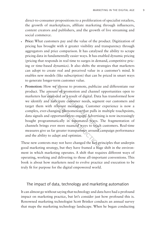direct-to-consumer propositions to a proliferation of specialist retailers, the growth of marketplaces, affiliate marketing through influencers, content creators and publishers, and the growth of live streaming and social commerce.

- Price: What customers pay and the value of the product. Digitization of pricing has brought with it greater visibility and transparency through aggregators and price comparison. It has catalysed the ability to scrape pricing data in fundamentally easier ways. It has enabled dynamic pricing (pricing that responds in real time to surges in demand, competitive pricing or time-based dynamics). It also shifts the strategies that marketers can adopt to create real and perceived value in a customer's mind. It enables new models (like subscription) that can be priced in smart ways to generate longer-term customer value.
- ve choose to promote, publicize<br>unt of promotion and channel c<br>oded as a result of digital. Data<br>ticipate customer needs, segmer<br>relevant messaging. Customer<br>ging phenomenon/that pulls in<br>portunities to engage. Advertisin<br> exploded as a result of digital. Data<br>and anticipate customer needs, segme<br>with relevant messaging. Customer-<br>changing phenomenon/that pulls in<br>model in a component phenomenon/that pulls<br>ammatically in automated ways.<br>gs e • Promotion: How we choose to promote, publicize and differentiate our product. The amount of promotion and channel opportunities open to marketers has exploded as a result of digital. Data has transformed how we identify and anticipate customer needs, segment our customers and target them with relevant messaging. Customer experience is now a complex, ever-changing phenomenon/that pulls in multiple touchpoints, data signals and opportunities to engage. Advertising is now increasingly bought programmatically in automated ways. The fragmentation of channels brings ever more nuanced ways to reach customers. Real-time measures give us far greater transparency around campaign performance and the ability to adapt and optimize.

These new contexts may not have changed the key principles that underpin good marketing strategy, but they have framed a huge shift in the environment in which marketing operates. A shift that requires different ways of operating, working and delivering to those all-important conventions. This book is about how marketers need to evolve practice and execution to be truly fit for purpose for the digital empowered world.

## The impact of data, technology and marketing automation

It can almost go without saying that technology and data have had a profound impact on marketing practice, but let's consider just how profound this is. Renowned marketing technologist Scott Brinker conducts an annual survey that maps the marketing technology landscape. When he began conducting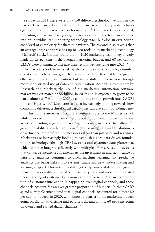the survey in 2011 there were only 150 different technology vendors in the market. Less than a decade later and there are over 8,000 separate technology solutions for marketers to choose from.14 The market has exploded, presenting an ever-increasing range of services that marketers can combine into an individualized marketing technology stack but also an ever-heightened level of complexity for them to navigate. The research also reveals that an average large enterprise has up to 120 tools in its marketing technology (MarTech) stack. Gartner found that in 2020 marketing technology already made up 26 per cent of the average marketing budget, and 68 per cent of CMOs were planning to increase their technology spending into 2021.<sup>15</sup>

Extra the size of the marketing a<br>at \$6 billion in 2019 and is exp<br>on by 2023 (a compound annual<br>Marketers are also increasingly l<br>chnological capabilities can drive<br>o establishing a common core to<br>custom suite of apps to nated at \$6 billion in 2019 and is expanded at \$6 billion by 2023 (a compound annuant).<sup>16</sup> Marketers are also increasingly ent technological capabilities can drivate to establishing a common core mg a custom suite of apps As marketers look to marshal capability into a cohesive whole, a number of critical shifts have emerged. The rise in automation has enabled far greater efficiency in marketing execution, but also a shift in effectiveness through more sophisticated use of data and optimization. According to a report by Research and Markets, the size of the marketing automation software market was estimated at \$6 billion in 2019 and is expected to grow to be worth almost \$17 billion by 2025 (a compound annual growth rate [CAGR] of over 19 per cent).16 Marketers are also increasingly looking towards how combining different technological capabilities can drive compounding benefits. This may relate to establishing a common core to the MarTech stack while also creating a custom suite of apps to augment proficiency in key areas or blending together software and services in ways that allow for greater flexibility and adaptability over time or using data and attribution to drive further into profitability measures rather than just sales and revenues. Marketers are increasingly looking to establish a core data-driven foundation in technology (through CRM systems and customer data platforms), which can then integrate efficiently with multiple other services and systems that can serve specific requirements. As the investment in and significance of data and analytics continues to grow, machine learning and predictive analytics are being baked into systems, catalysing new understanding and learning at speed. This in turn is shifting the dynamics of data, with greater focus on data quality and analysis, first-party data and more sophisticated understanding of customer behaviours and preferences. A growing proportion of customer interaction is happening over digital channels, and these channels account for an ever greater proportion of budgets. In their CMO spend survey Gartner found that digital channels accounted for almost 80 per cent of budgets in 2020, with almost a quarter of the marketing budget going on digital advertising and paid search, and almost 60 per cent going on owned and earned digital channels.<sup>17</sup>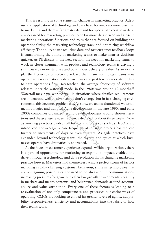In Datakitchen, the average in<br>terfall model in the 1980s was<br>orked well in situations where a<br>advance and don't change, but<br>s problematic. As software teams<br>lopted Agile development in the<br>anized technology development<br>re ave worked well in situations where<br>well in advance and don't change, bu<br>comes problematic. As software team<br>nd adopted Agile development in th<br>s organized technology developmen<br>rage release frequency dropped to at<br>tices e This is resulting in some elemental changes in marketing practice. Adept use and application of technology and data have become ever more essential to marketing and there is far greater demand for specialist expertise in data, a wider need for marketing practice to be far more data-driven and a rise in marketing operations functions and roles that are focused on building and operationalizing the marketing technology stack and optimizing workflow efficiency. The ability to use real-time data and fast customer feedback loops is transforming the ability of marketing teams to make smarter decisions quicker. As I'll discuss in the next section, the need for marketing teams to work in closer alignment with product and technology teams is driving a shift towards more iterative and continuous delivery of value. As an example, the frequency of software release that many technology teams now operate to has dramatically decreased over the past few decades. According to data operations firm DataKitchen, the average frequency of software releases under the waterfall model in the 1980s was around 12 months.<sup>18</sup> Waterfall may have worked well in situations where detailed requirements are understood well in advance and don't change, but in fast-changing environments this becomes problematic. As software teams abandoned waterfall methodologies and adopted Agile development in the late 1990s and early 2000s companies organized technology development around shorter iterations and the average release frequency dropped to about three weeks. Now, as working practices evolve still further and practices such as DevOps are introduced, the average release frequency of software projects has reduced further to increments of days or even minutes. As agile practices have expanded beyond technology teams, the rhythm and cycles at which businesses operate have dramatically shortened.

As the focus on customer experience expands within organizations, there is a parallel opportunity for marketing to expand its impact, enabled and driven through a technology and data revolution that is changing marketing practice forever. Marketers find themselves facing a perfect storm of factors including rapidly changing customer behaviour, shifts in technologies that are reimagining possibilities, the need to be always on in communications, increasing pressures for growth in often low growth environments, volatility in markets and macro-contexts, and heightened demands around accountability and value attribution. Every one of these factors is leading to a re-evaluation of not only competencies and processes but entire ways of operating. CMOs are looking to embed far greater levels of agility, adaptability, responsiveness, efficiency and accountability into the fabric of how their teams work.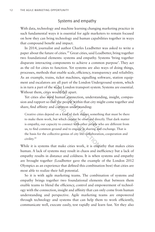### Systems and empathy

With data, technology and machine learning changing marketing practice in such fundamental ways it is essential for agile marketers to remain focused on how they can bring technology and human capabilities together in ways that compound benefit and impact.

In 2014, journalist and author Charles Leadbetter was asked to write a paper about the future of cities.19 Great cities, said Leadbetter, bring together two foundational elements: systems and empathy. Systems 'bring together disparate interacting components to achieve a common purpose'. They act as the oil for cities to function. Yet systems are also ways of doing things, processes, methods that enable scale, efficiency, transparency and reliability. As an example, trains, ticket machines, signalling software, station equipment and escalators are all part of the London Underground system, which is in turn a part of the wider London transport system. Systems are essential. Without them, cities would fall apart.

Yet cities also need human connection, understanding, insight, compassion and rapport so that the people within that city might come together and share, find affinity and common understanding:

wider London transport system.<br>
rould fall apart.<br>
human connection, understand<br>
at the people within that city mig<br>
common understanding:<br>
l on a kind of dark matter, somethin<br>
out which cannot be observed direct<br>
tity to need human connection, understand<br>so that the people within that city mix<br>y and common understanding:<br>lepend on a kind of dark matter, somethic<br>vork, but which cannot be observed direct<br>capacity to connect with other peopl Creative cities depend on a kind of dark matter, something that must be there to make them work, but which cannot be observed directly. That dark matter is empathy, our capacity to connect with other people who are different from us, to find common ground and to engage in sharing and exchange. That is the basis for the collective genius of city life: collaboration, cooperation and civility.20

While it is systems that make cities work, it is empathy that makes cities human. A lack of systems may result in chaos and inefficiency but a lack of empathy results in distance and coldness. It is when systems and empathy are brought together (Leadbetter gave the example of the London 2012 Olympics as an experience that defined this combination best) that cities are most able to realize their full potential.

So it is with agile marketing teams. The combination of systems and empathy brings together two foundational elements that between them enable teams to blend the efficiency, control and empowerment of technology with the connection, insight and affinity that can only come from human understanding and perspective. Agile marketing teams are empowered through technology and systems that can help them to work efficiently, communicate well, execute easily, test rapidly and learn fast. Yet they also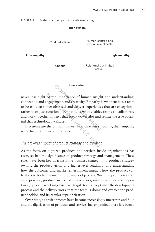



Low system<br>
e importance of human insight<br>
ement, and creativity. Empathy is<br>
obsessed and deliver experiences<br>
ional. Empathy is what enables<br>
ways that break down silos and i<br>
cilitates.<br>
il that makes the engine run sm<br> of the importance of human insignagement, and creativity. Empathy<br>omer-obsessed and deliver experience<br>functional. Empathy is what enable<br>er in ways that break down silos and<br>ogy facilitates.<br>the oil that makes the engine never lose sight of the importance of human insight and understanding, connection and engagement, and creativity. Empathy is what enables a team to be truly customer-obsessed and deliver experiences that are exceptional rather than just functional. Empathy is what enables teams to collaborate and work together in ways that break down silos and realize the true potential that technology facilitates.

If systems are the oil that makes the engine run smoothly, then empathy is the fuel that powers the engine.

# The growing impact of product strategy and thinking

As the focus on digitized products and services inside organizations has risen, so has the significance of product strategy and management. These roles have been key in translating business strategy into product strategy, owning the product vision and higher-level roadmap, and understanding how the customer and market environment impacts how the product can best serve both customer and business objectives. With the proliferation of agile practice, product owner roles have also grown in number and importance, typically working closely with agile teams to optimize the development process and the delivery work that the team is doing and oversee the product backlog and its regular reprioritization.

Over time, as environments have become increasingly uncertain and fluid and the digitization of products and services has expanded, there has been a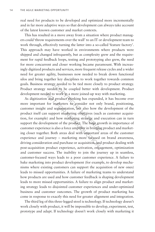real need for products to be developed and optimized more incrementally and in far more adaptive ways so that development can always take account of the latest known customer and market contexts.

This has resulted in a move away from a situation where product managers could 'throw requirements over the wall' to an IT or development team to work through, effectively turning the latter into a so-called 'feature factory'. This approach may have worked in environments where products were shipped and changed infrequently, but as complexity grew and the requirement for rapid feedback loops, testing and prototyping also grew, the need for more concurrent and closer working became paramount. With increasingly digitized products and services, more frequent release cycles and a wider need for greater agility, businesses now needed to break down functional silos and bring together key disciplines to work together towards common goals. Business strategy needed to be tied more closely to product strategy. Product strategy needed to be coupled better with development. Product development needed to work in a more joined-up way with marketing.

by needed to be ted more crosery<br>ed to be coupled better with d<br>work in a more joined-up way<br>product thinking has expanded<br>narketers to consider not only<br>segmentation, but also how the<br>port marketing objectives (such<br>l how ded to work in a more joined-up way<br>a and product thinking has expande<br>for marketers to consider not onl<br>and segmentation, but also how the<br>n support marketing objectives (sucle)<br>and how marketing strategy and<br>lopment of t As digitization and product thinking has expanded, it has become ever more important for marketers to consider not only brand, positioning, customer insight and segmentation, but also how the development of the product itself can support marketing objectives (such as customer acquisition, for example) and how marketing strategy and execution can in turn support the development of the product. The huge growth in importance of customer experience is also a force amplifier in bringing product and marketing closer together. Both areas deal with important areas of the customer experience and journey – marketing more focused on brand awareness, driving consideration and purchase or acquisition, and product dealing with post-acquisition product experience, activation, engagement, optimization and customer success. The inability to join the journey up in seamless, customer-focused ways leads to a poor customer experience. A failure to bake marketing into product development (for example, to develop mechanisms where existing customers can support the acquisition of new ones) leads to missed opportunities. A failure of marketing teams to understand how products are used and how customer feedback is shaping development leads to more missed opportunities. A failure to align product and marketing strategy leads to disjointed customer experiences and under-optimized business and customer outcomes. The growth of product marketing has come in response to exactly this need for greater alignment and integration.

The third leg of this three-legged stool is technology. If technology doesn't work closely with product, it will be impossible to develop, experiment, test, prototype and adapt. If technology doesn't work closely with marketing it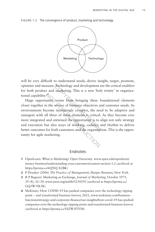#### FIGURE 1.2 The convergence of product, marketing and technology



will be very difficult to understand needs, derive insight, target, promote, optimize and measure. Technology and development are the critical enablers for both product and marketing. This is a new 'holy trinity' in organizational capability.21

Technology and development an<br>
marketing. This is a new 'holy<br>
vexists from bringing these for<br>
service of business objectives an<br>
increasingly complex, the need<br>
ee of these elements is critical.<br>
intwined the opportunity Particulary exists from bringing these in the service of business objectives a<br>non-increasingly complex, the near accome increasingly complex, the near<br>ill three of these elements is critical<br>and entwined the opportunity i Huge opportunity exists from bringing these foundational elements closer together in the service of business objectives and customer needs. As environments become increasingly complex, the need to be adaptive and emergent with all three of these elements is critical. As they become ever more integrated and entwined the opportunity is to align not only strategy and execution but also ways of working, cadence and rhythm to deliver better outcomes for both customers and the organization. *This* is the opportunity for agile marketing.

#### Endnotes

- **1** OpenLearn. What is Marketing? Open University. [www.open.edu/openlearn/](http://www.open.edu/openlearn/money-business/understanding-your-customers/content-section-1.2) [money-business/understanding-your-customers/content-section-1.2](http://www.open.edu/openlearn/money-business/understanding-your-customers/content-section-1.2) (archived at [https://perma.cc/6QNQ-X2BK\)](https://perma.cc/6QNQ-X2BK)
- **2** P Drucker (2006) *The Practice of Management*, Harper Business, New York.
- **3** R P Bagozzi. Marketing as Exchange, *Journal of Marketing*, October 1975, 39 (4), 32–39, [www.jstor.org/stable/1250593](http://www.jstor.org/stable/1250593) (archived at [https://perma.cc/](https://perma.cc/GQ5W-VK5K) [GQ5W-VK5K](https://perma.cc/GQ5W-VK5K))
- **4** McKinsey. How COVID-19 has pushed companies over the technology tipping point – and transformed business forever, 2021, [www.mckinsey.com/business](http://www.mckinsey.com/business-functions/strategy-and-corporate-finance/our-insights/how-covid-19-has-pushed-companies-over-the-technology-tipping-point-and-transformed-business-forever)[functions/strategy-and-corporate-finance/our-insights/how-covid-19-has-pushed](http://www.mckinsey.com/business-functions/strategy-and-corporate-finance/our-insights/how-covid-19-has-pushed-companies-over-the-technology-tipping-point-and-transformed-business-forever)[companies-over-the-technology-tipping-point-and-transformed-business-forever](http://www.mckinsey.com/business-functions/strategy-and-corporate-finance/our-insights/how-covid-19-has-pushed-companies-over-the-technology-tipping-point-and-transformed-business-forever) (archived at [https://perma.cc/5SZW-PTVM\)](https://perma.cc/5SZW-PTVM)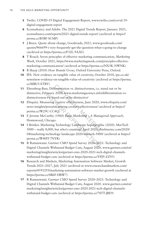- **5** Twilio. COVID-19 Digital Engagement Report, [www.twilio.com/covid-19](http://www.twilio.com/covid-19-digital-engagement-report) [digital-engagement-report](http://www.twilio.com/covid-19-digital-engagement-report)
- **6** Econsultancy and Adobe. The 2021 Digital Trends Report, January 2021, [econsultancy.com/reports/2021-digital-trends-report/](http://econsultancy.com/reports/2021-digital-trends-report/) (archived at [https://](https://perma.cc/B5BF-SCMP) [perma.cc/B5BF-SCMP\)](https://perma.cc/B5BF-SCMP)
- **7** J Bezos. Quote about change, Goodreads, 2021, [www.goodreads.com/](http://www.goodreads.com/quotes/966699-i-very-frequently-get-the-question-what-s-going-to-change) [quotes/966699-i-very-frequently-get-the-question-what-s-going-to-change](http://www.goodreads.com/quotes/966699-i-very-frequently-get-the-question-what-s-going-to-change) (archived at [https://perma.cc/F32L-9AAU\)](https://perma.cc/F32L-9AAU)
- **8** T Roach. Seven principles of effective marketing communication, *Marketing Week*, October 2021, [https://www.marketingweek.com/principles-effective](https://www.marketingweek.com/principles-effective-marketing-communication/)[marketing-communication/](https://www.marketingweek.com/principles-effective-marketing-communication/) (archived at [https://perma.cc/NX5K-NWNK\)](https://perma.cc/NX5K-NWNK)
- **9** B Sharp (2010) *How Brands Grow*, Oxford University Press, Oxford.
- **10** IPA. New evidence on tangible value of creativity, October 2018, [ipa.co.uk/](http://ipa.co.uk/news/new-evidence-on-tangible-value-of-creativity) [news/new-evidence-on-tangible-value-of-creativity](http://ipa.co.uk/news/new-evidence-on-tangible-value-of-creativity) (archived at [https://perma.](https://perma.cc/MBU3-ETBV) [cc/MBU3-ETBV](https://perma.cc/MBU3-ETBV))
- ferentiation vs. distinctiveness, i.e. st<br>
2020, www.marketingscience.info/<br>
and-out-or-be-distinctive/<br>
creative effectiveness, June 2020, w<br>
measuring-creative-effectiveness/ (ar<br>
(1960) *Basic Marketing A Manag*<br>
0.<br> **11** Ehrenberg-Bass. Differentiation vs. distinctiveness, i.e. stand out or be distinctive, February 2020, [www.marketingscience.info/differentiation-vs](http://www.marketingscience.info/differentiation-vs-distinctiveness-i-e-stand-out-or-be-distinctive/)[distinctiveness-i-e-stand-out-or-be-distinctive/](http://www.marketingscience.info/differentiation-vs-distinctiveness-i-e-stand-out-or-be-distinctive/)
- **12** Ebiquity. Measuring creative effectiveness, June 2020, [www.ebiquity.com/](http://www.ebiquity.com/news-insights/press/measuring-creative-effectiveness/) [news-insights/press/measuring-creative-effectiveness/](http://www.ebiquity.com/news-insights/press/measuring-creative-effectiveness/) (archived at [https://](https://perma.cc/W29C-CC4Q) [perma.cc/W29C-CC4Q\)](https://perma.cc/W29C-CC4Q)
- **13** E Jerome McCarthy (1960) *Basic Marketing A Managerial Approach*, Homewood, Chicago.
- Order 2020, WWW.marketingscience.info<br>
Fig. 1205, WWW.marketingscience.info<br>
Siring creative effectiveness, June 2020,<br>
press/measuring-creative-effectiveness/ (<br>
2C-CC4Q)<br>
Carthy (1960) Basic Marketing A Manchicago.<br>
Ex **14** S Brinker. Marketing Technology Landscape Supergraphic (2020): MarTech 5000 – really 8,000, but who's counting? April 2020, [chiefmartec.com/2020/](http://chiefmartec.com/2020/04/marketing-technology-landscape-2020-martech-5000/) [04/marketing-technology-landscape-2020-martech-5000/](http://chiefmartec.com/2020/04/marketing-technology-landscape-2020-martech-5000/) (archived at [https://](https://perma.cc/W4HT-7NYR) [perma.cc/W4HT-7NYR\)](https://perma.cc/W4HT-7NYR)
- **15** R Ramaswami. Gartner CMO Spend Survey 2020–2021: Technology and Digital Channels Withstand Budget Cuts, August 2020, [www.gartner.com/en/](http://www.gartner.com/en/marketing/insights/articles/gartner-cmo-2020-2021-tech-digital-channels-withstand-budget-cuts) [marketing/insights/articles/gartner-cmo-2020-2021-tech-digital-channels](http://www.gartner.com/en/marketing/insights/articles/gartner-cmo-2020-2021-tech-digital-channels-withstand-budget-cuts)[withstand-budget-cuts](http://www.gartner.com/en/marketing/insights/articles/gartner-cmo-2020-2021-tech-digital-channels-withstand-budget-cuts) (archived at <https://perma.cc/YPJ9-ZZ95>)
- **16** Research and Markets, Marketing Automation Software Market, Growth Trends 2021–2027, July 2021 (archived at [www.researchandmarkets.com/](http://www.researchandmarkets.com/reports/4591293/marketing-automation-software-market-growth) [reports/4591293/marketing-automation-software-market-growth](http://www.researchandmarkets.com/reports/4591293/marketing-automation-software-market-growth) (archived at <https://perma.cc/4B6F-HBW7>)
- **17** R Ramaswami. Gartner CMO Spend Survey 2020–2021: Technology and Digital Channels Withstand Budget Cuts, August 2020. [www.gartner.com/en/](http://www.gartner.com/en/marketing/insights/articles/gartner-cmo-2020-2021-tech-digital-channels-withstand-budget-cuts) [marketing/insights/articles/gartner-cmo-2020-2021-tech-digital-channels](http://www.gartner.com/en/marketing/insights/articles/gartner-cmo-2020-2021-tech-digital-channels-withstand-budget-cuts)[withstand-budget-cuts](http://www.gartner.com/en/marketing/insights/articles/gartner-cmo-2020-2021-tech-digital-channels-withstand-budget-cuts) (archived at [https://perma.cc/78TT-JBE9\)](https://perma.cc/78TT-JBE9)